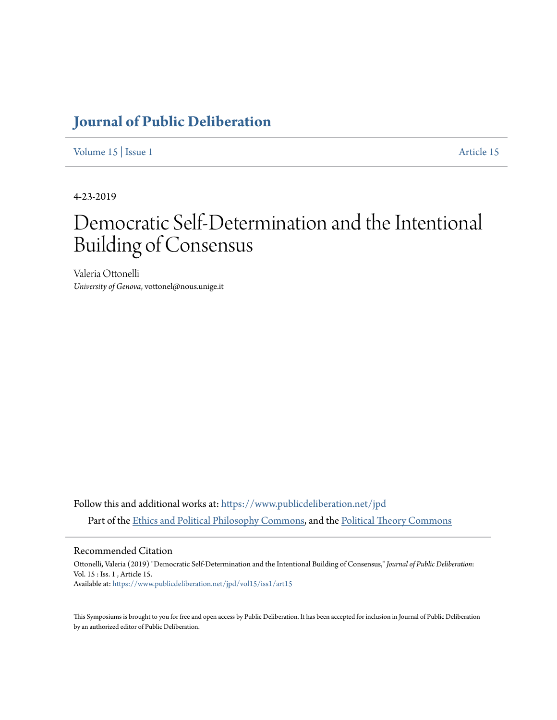## **[Journal of Public Deliberation](https://www.publicdeliberation.net/jpd?utm_source=www.publicdeliberation.net%2Fjpd%2Fvol15%2Fiss1%2Fart15&utm_medium=PDF&utm_campaign=PDFCoverPages)**

[Volume 15](https://www.publicdeliberation.net/jpd/vol15?utm_source=www.publicdeliberation.net%2Fjpd%2Fvol15%2Fiss1%2Fart15&utm_medium=PDF&utm_campaign=PDFCoverPages) | [Issue 1](https://www.publicdeliberation.net/jpd/vol15/iss1?utm_source=www.publicdeliberation.net%2Fjpd%2Fvol15%2Fiss1%2Fart15&utm_medium=PDF&utm_campaign=PDFCoverPages) [Article 15](https://www.publicdeliberation.net/jpd/vol15/iss1/art15?utm_source=www.publicdeliberation.net%2Fjpd%2Fvol15%2Fiss1%2Fart15&utm_medium=PDF&utm_campaign=PDFCoverPages)

4-23-2019

# Democratic Self-Determination and the Intentional Building of Consensus

Valeria Ottonelli *University of Genova*, vottonel@nous.unige.it

Follow this and additional works at: [https://www.publicdeliberation.net/jpd](https://www.publicdeliberation.net/jpd?utm_source=www.publicdeliberation.net%2Fjpd%2Fvol15%2Fiss1%2Fart15&utm_medium=PDF&utm_campaign=PDFCoverPages) Part of the [Ethics and Political Philosophy Commons,](http://network.bepress.com/hgg/discipline/529?utm_source=www.publicdeliberation.net%2Fjpd%2Fvol15%2Fiss1%2Fart15&utm_medium=PDF&utm_campaign=PDFCoverPages) and the [Political Theory Commons](http://network.bepress.com/hgg/discipline/391?utm_source=www.publicdeliberation.net%2Fjpd%2Fvol15%2Fiss1%2Fart15&utm_medium=PDF&utm_campaign=PDFCoverPages)

Recommended Citation

Ottonelli, Valeria (2019) "Democratic Self-Determination and the Intentional Building of Consensus," *Journal of Public Deliberation*: Vol. 15 : Iss. 1 , Article 15. Available at: [https://www.publicdeliberation.net/jpd/vol15/iss1/art15](https://www.publicdeliberation.net/jpd/vol15/iss1/art15?utm_source=www.publicdeliberation.net%2Fjpd%2Fvol15%2Fiss1%2Fart15&utm_medium=PDF&utm_campaign=PDFCoverPages)

This Symposiums is brought to you for free and open access by Public Deliberation. It has been accepted for inclusion in Journal of Public Deliberation by an authorized editor of Public Deliberation.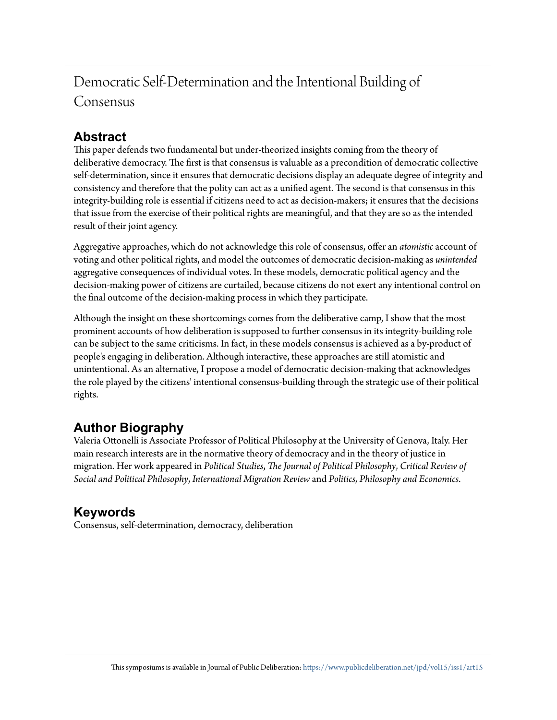## Democratic Self-Determination and the Intentional Building of Consensus

### **Abstract**

This paper defends two fundamental but under-theorized insights coming from the theory of deliberative democracy. The first is that consensus is valuable as a precondition of democratic collective self-determination, since it ensures that democratic decisions display an adequate degree of integrity and consistency and therefore that the polity can act as a unified agent. The second is that consensus in this integrity-building role is essential if citizens need to act as decision-makers; it ensures that the decisions that issue from the exercise of their political rights are meaningful, and that they are so as the intended result of their joint agency.

Aggregative approaches, which do not acknowledge this role of consensus, offer an *atomistic* account of voting and other political rights, and model the outcomes of democratic decision-making as *unintended* aggregative consequences of individual votes. In these models, democratic political agency and the decision-making power of citizens are curtailed, because citizens do not exert any intentional control on the final outcome of the decision-making process in which they participate.

Although the insight on these shortcomings comes from the deliberative camp, I show that the most prominent accounts of how deliberation is supposed to further consensus in its integrity-building role can be subject to the same criticisms. In fact, in these models consensus is achieved as a by-product of people's engaging in deliberation. Although interactive, these approaches are still atomistic and unintentional. As an alternative, I propose a model of democratic decision-making that acknowledges the role played by the citizens' intentional consensus-building through the strategic use of their political rights.

## **Author Biography**

Valeria Ottonelli is Associate Professor of Political Philosophy at the University of Genova, Italy. Her main research interests are in the normative theory of democracy and in the theory of justice in migration. Her work appeared in *Political Studies*, *The Journal of Political Philosophy*, *Critical Review of Social and Political Philosophy*, *International Migration Review* and *Politics, Philosophy and Economics*.

## **Keywords**

Consensus, self-determination, democracy, deliberation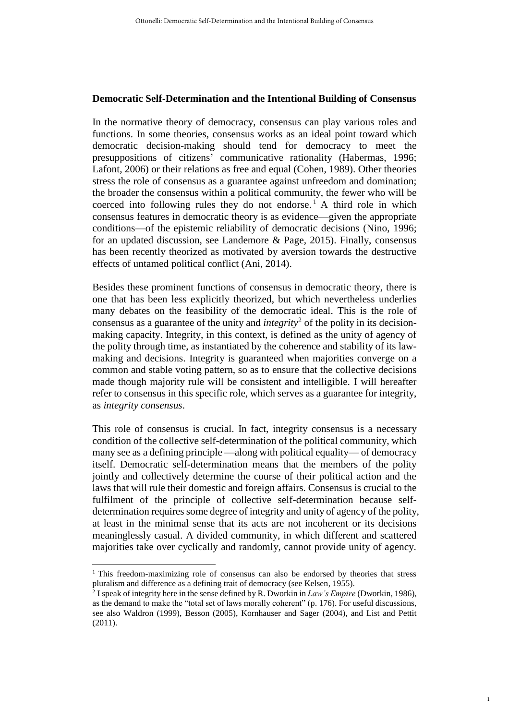#### **Democratic Self-Determination and the Intentional Building of Consensus**

In the normative theory of democracy, consensus can play various roles and functions. In some theories, consensus works as an ideal point toward which democratic decision-making should tend for democracy to meet the presuppositions of citizens' communicative rationality (Habermas, 1996; Lafont, 2006) or their relations as free and equal (Cohen, 1989). Other theories stress the role of consensus as a guarantee against unfreedom and domination; the broader the consensus within a political community, the fewer who will be coerced into following rules they do not endorse. <sup>1</sup> A third role in which consensus features in democratic theory is as evidence—given the appropriate conditions—of the epistemic reliability of democratic decisions (Nino, 1996; for an updated discussion, see Landemore  $\&$  Page, 2015). Finally, consensus has been recently theorized as motivated by aversion towards the destructive effects of untamed political conflict (Ani, 2014).

Besides these prominent functions of consensus in democratic theory, there is one that has been less explicitly theorized, but which nevertheless underlies many debates on the feasibility of the democratic ideal. This is the role of consensus as a guarantee of the unity and *integrity*<sup>2</sup> of the polity in its decisionmaking capacity. Integrity, in this context, is defined as the unity of agency of the polity through time, as instantiated by the coherence and stability of its lawmaking and decisions. Integrity is guaranteed when majorities converge on a common and stable voting pattern, so as to ensure that the collective decisions made though majority rule will be consistent and intelligible. I will hereafter refer to consensus in this specific role, which serves as a guarantee for integrity, as *integrity consensus*.

This role of consensus is crucial. In fact, integrity consensus is a necessary condition of the collective self-determination of the political community, which many see as a defining principle —along with political equality— of democracy itself. Democratic self-determination means that the members of the polity jointly and collectively determine the course of their political action and the laws that will rule their domestic and foreign affairs. Consensus is crucial to the fulfilment of the principle of collective self-determination because selfdetermination requires some degree of integrity and unity of agency of the polity, at least in the minimal sense that its acts are not incoherent or its decisions meaninglessly casual. A divided community, in which different and scattered majorities take over cyclically and randomly, cannot provide unity of agency.

 $\overline{a}$ 

1

<sup>&</sup>lt;sup>1</sup> This freedom-maximizing role of consensus can also be endorsed by theories that stress pluralism and difference as a defining trait of democracy (see Kelsen, 1955).

<sup>2</sup> I speak of integrity here in the sense defined by R. Dworkin in *Law's Empire* (Dworkin, 1986), as the demand to make the "total set of laws morally coherent" (p. 176). For useful discussions, see also Waldron (1999), Besson (2005), Kornhauser and Sager (2004), and List and Pettit (2011).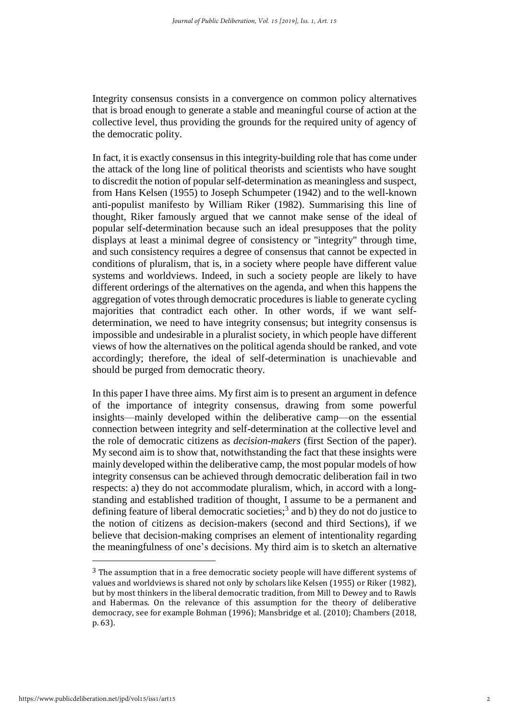Integrity consensus consists in a convergence on common policy alternatives that is broad enough to generate a stable and meaningful course of action at the collective level, thus providing the grounds for the required unity of agency of the democratic polity.

In fact, it is exactly consensus in this integrity-building role that has come under the attack of the long line of political theorists and scientists who have sought to discredit the notion of popular self-determination as meaningless and suspect, from Hans Kelsen (1955) to Joseph Schumpeter (1942) and to the well-known anti-populist manifesto by William Riker (1982). Summarising this line of thought, Riker famously argued that we cannot make sense of the ideal of popular self-determination because such an ideal presupposes that the polity displays at least a minimal degree of consistency or "integrity" through time, and such consistency requires a degree of consensus that cannot be expected in conditions of pluralism, that is, in a society where people have different value systems and worldviews. Indeed, in such a society people are likely to have different orderings of the alternatives on the agenda, and when this happens the aggregation of votes through democratic procedures is liable to generate cycling majorities that contradict each other. In other words, if we want selfdetermination, we need to have integrity consensus; but integrity consensus is impossible and undesirable in a pluralist society, in which people have different views of how the alternatives on the political agenda should be ranked, and vote accordingly; therefore, the ideal of self-determination is unachievable and should be purged from democratic theory.

In this paper I have three aims. My first aim is to present an argument in defence of the importance of integrity consensus, drawing from some powerful insights—mainly developed within the deliberative camp—on the essential connection between integrity and self-determination at the collective level and the role of democratic citizens as *decision-makers* (first Section of the paper). My second aim is to show that, notwithstanding the fact that these insights were mainly developed within the deliberative camp, the most popular models of how integrity consensus can be achieved through democratic deliberation fail in two respects: a) they do not accommodate pluralism, which, in accord with a longstanding and established tradition of thought, I assume to be a permanent and defining feature of liberal democratic societies;<sup>3</sup> and b) they do not do justice to the notion of citizens as decision-makers (second and third Sections), if we believe that decision-making comprises an element of intentionality regarding the meaningfulness of one's decisions. My third aim is to sketch an alternative

 $3$  The assumption that in a free democratic society people will have different systems of values and worldviews is shared not only by scholars like Kelsen (1955) or Riker (1982), but by most thinkers in the liberal democratic tradition, from Mill to Dewey and to Rawls and Habermas. On the relevance of this assumption for the theory of deliberative democracy, see for example Bohman (1996); Mansbridge et al. (2010); Chambers (2018, p. 63).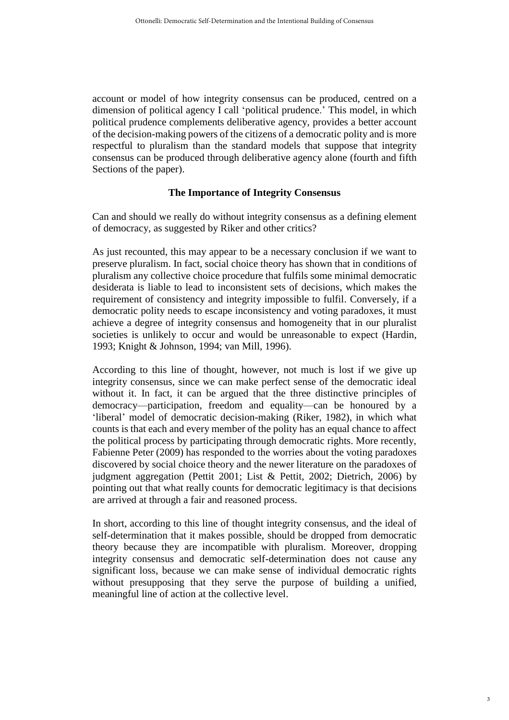account or model of how integrity consensus can be produced, centred on a dimension of political agency I call 'political prudence.' This model, in which political prudence complements deliberative agency, provides a better account of the decision-making powers of the citizens of a democratic polity and is more respectful to pluralism than the standard models that suppose that integrity consensus can be produced through deliberative agency alone (fourth and fifth Sections of the paper).

#### **The Importance of Integrity Consensus**

Can and should we really do without integrity consensus as a defining element of democracy, as suggested by Riker and other critics?

As just recounted, this may appear to be a necessary conclusion if we want to preserve pluralism. In fact, social choice theory has shown that in conditions of pluralism any collective choice procedure that fulfils some minimal democratic desiderata is liable to lead to inconsistent sets of decisions, which makes the requirement of consistency and integrity impossible to fulfil. Conversely, if a democratic polity needs to escape inconsistency and voting paradoxes, it must achieve a degree of integrity consensus and homogeneity that in our pluralist societies is unlikely to occur and would be unreasonable to expect (Hardin, 1993; Knight & Johnson, 1994; van Mill, 1996).

According to this line of thought, however, not much is lost if we give up integrity consensus, since we can make perfect sense of the democratic ideal without it. In fact, it can be argued that the three distinctive principles of democracy—participation, freedom and equality—can be honoured by a 'liberal' model of democratic decision-making (Riker, 1982), in which what counts is that each and every member of the polity has an equal chance to affect the political process by participating through democratic rights. More recently, Fabienne Peter (2009) has responded to the worries about the voting paradoxes discovered by social choice theory and the newer literature on the paradoxes of judgment aggregation (Pettit 2001; List & Pettit, 2002; Dietrich, 2006) by pointing out that what really counts for democratic legitimacy is that decisions are arrived at through a fair and reasoned process.

In short, according to this line of thought integrity consensus, and the ideal of self-determination that it makes possible, should be dropped from democratic theory because they are incompatible with pluralism. Moreover, dropping integrity consensus and democratic self-determination does not cause any significant loss, because we can make sense of individual democratic rights without presupposing that they serve the purpose of building a unified, meaningful line of action at the collective level.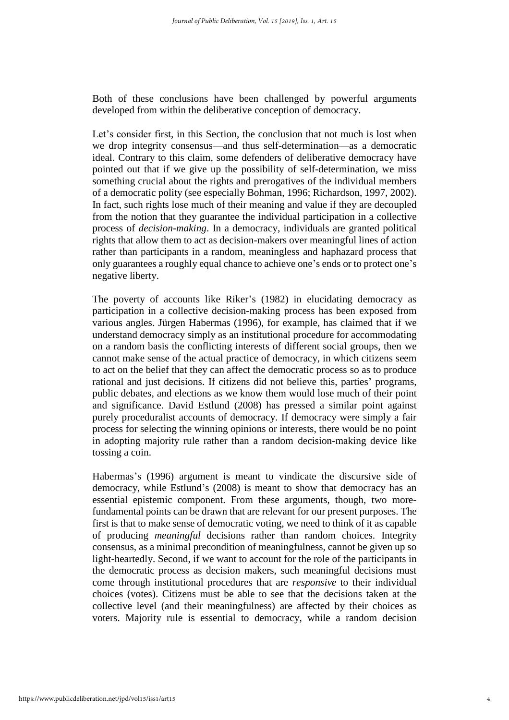Both of these conclusions have been challenged by powerful arguments developed from within the deliberative conception of democracy.

Let's consider first, in this Section, the conclusion that not much is lost when we drop integrity consensus—and thus self-determination—as a democratic ideal. Contrary to this claim, some defenders of deliberative democracy have pointed out that if we give up the possibility of self-determination, we miss something crucial about the rights and prerogatives of the individual members of a democratic polity (see especially Bohman, 1996; Richardson, 1997, 2002). In fact, such rights lose much of their meaning and value if they are decoupled from the notion that they guarantee the individual participation in a collective process of *decision-making*. In a democracy, individuals are granted political rights that allow them to act as decision-makers over meaningful lines of action rather than participants in a random, meaningless and haphazard process that only guarantees a roughly equal chance to achieve one's ends or to protect one's negative liberty.

The poverty of accounts like Riker's (1982) in elucidating democracy as participation in a collective decision-making process has been exposed from various angles. Jürgen Habermas (1996), for example, has claimed that if we understand democracy simply as an institutional procedure for accommodating on a random basis the conflicting interests of different social groups, then we cannot make sense of the actual practice of democracy, in which citizens seem to act on the belief that they can affect the democratic process so as to produce rational and just decisions. If citizens did not believe this, parties' programs, public debates, and elections as we know them would lose much of their point and significance. David Estlund (2008) has pressed a similar point against purely proceduralist accounts of democracy. If democracy were simply a fair process for selecting the winning opinions or interests, there would be no point in adopting majority rule rather than a random decision-making device like tossing a coin.

Habermas's (1996) argument is meant to vindicate the discursive side of democracy, while Estlund's (2008) is meant to show that democracy has an essential epistemic component. From these arguments, though, two morefundamental points can be drawn that are relevant for our present purposes. The first is that to make sense of democratic voting, we need to think of it as capable of producing *meaningful* decisions rather than random choices. Integrity consensus, as a minimal precondition of meaningfulness, cannot be given up so light-heartedly. Second, if we want to account for the role of the participants in the democratic process as decision makers, such meaningful decisions must come through institutional procedures that are *responsive* to their individual choices (votes). Citizens must be able to see that the decisions taken at the collective level (and their meaningfulness) are affected by their choices as voters. Majority rule is essential to democracy, while a random decision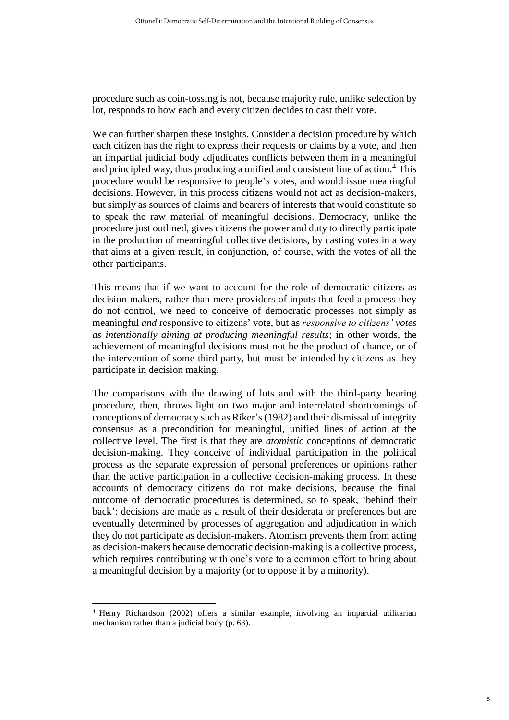procedure such as coin-tossing is not, because majority rule, unlike selection by lot, responds to how each and every citizen decides to cast their vote.

We can further sharpen these insights. Consider a decision procedure by which each citizen has the right to express their requests or claims by a vote, and then an impartial judicial body adjudicates conflicts between them in a meaningful and principled way, thus producing a unified and consistent line of action. <sup>4</sup> This procedure would be responsive to people's votes, and would issue meaningful decisions. However, in this process citizens would not act as decision-makers, but simply as sources of claims and bearers of interests that would constitute so to speak the raw material of meaningful decisions. Democracy, unlike the procedure just outlined, gives citizens the power and duty to directly participate in the production of meaningful collective decisions, by casting votes in a way that aims at a given result, in conjunction, of course, with the votes of all the other participants.

This means that if we want to account for the role of democratic citizens as decision-makers, rather than mere providers of inputs that feed a process they do not control, we need to conceive of democratic processes not simply as meaningful *and* responsive to citizens' vote, but as *responsive to citizens' votes as intentionally aiming at producing meaningful results*; in other words, the achievement of meaningful decisions must not be the product of chance, or of the intervention of some third party, but must be intended by citizens as they participate in decision making.

The comparisons with the drawing of lots and with the third-party hearing procedure, then, throws light on two major and interrelated shortcomings of conceptions of democracy such as Riker's(1982) and their dismissal of integrity consensus as a precondition for meaningful, unified lines of action at the collective level. The first is that they are *atomistic* conceptions of democratic decision-making. They conceive of individual participation in the political process as the separate expression of personal preferences or opinions rather than the active participation in a collective decision-making process. In these accounts of democracy citizens do not make decisions, because the final outcome of democratic procedures is determined, so to speak, 'behind their back': decisions are made as a result of their desiderata or preferences but are eventually determined by processes of aggregation and adjudication in which they do not participate as decision-makers. Atomism prevents them from acting as decision-makers because democratic decision-making is a collective process, which requires contributing with one's vote to a common effort to bring about a meaningful decision by a majority (or to oppose it by a minority).

<sup>4</sup> Henry Richardson (2002) offers a similar example, involving an impartial utilitarian mechanism rather than a judicial body (p. 63).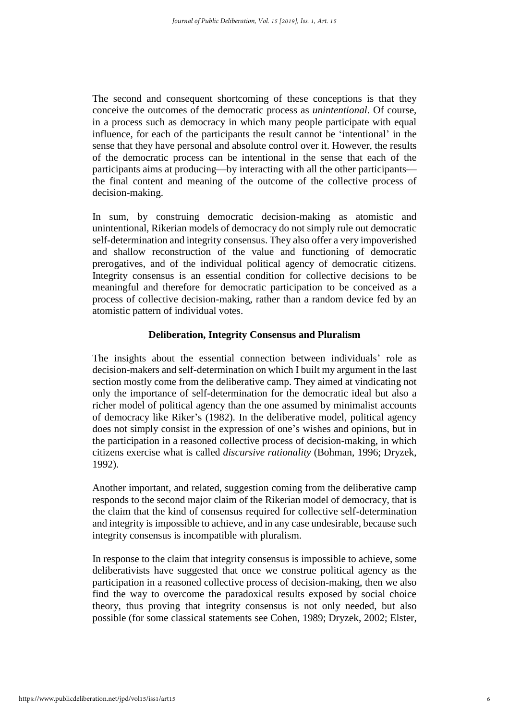The second and consequent shortcoming of these conceptions is that they conceive the outcomes of the democratic process as *unintentional*. Of course, in a process such as democracy in which many people participate with equal influence, for each of the participants the result cannot be 'intentional' in the sense that they have personal and absolute control over it. However, the results of the democratic process can be intentional in the sense that each of the participants aims at producing—by interacting with all the other participants the final content and meaning of the outcome of the collective process of decision-making.

In sum, by construing democratic decision-making as atomistic and unintentional, Rikerian models of democracy do not simply rule out democratic self-determination and integrity consensus. They also offer a very impoverished and shallow reconstruction of the value and functioning of democratic prerogatives, and of the individual political agency of democratic citizens. Integrity consensus is an essential condition for collective decisions to be meaningful and therefore for democratic participation to be conceived as a process of collective decision-making, rather than a random device fed by an atomistic pattern of individual votes.

#### **Deliberation, Integrity Consensus and Pluralism**

The insights about the essential connection between individuals' role as decision-makers and self-determination on which I built my argument in the last section mostly come from the deliberative camp. They aimed at vindicating not only the importance of self-determination for the democratic ideal but also a richer model of political agency than the one assumed by minimalist accounts of democracy like Riker's (1982). In the deliberative model, political agency does not simply consist in the expression of one's wishes and opinions, but in the participation in a reasoned collective process of decision-making, in which citizens exercise what is called *discursive rationality* (Bohman, 1996; Dryzek, 1992).

Another important, and related, suggestion coming from the deliberative camp responds to the second major claim of the Rikerian model of democracy, that is the claim that the kind of consensus required for collective self-determination and integrity is impossible to achieve, and in any case undesirable, because such integrity consensus is incompatible with pluralism.

In response to the claim that integrity consensus is impossible to achieve, some deliberativists have suggested that once we construe political agency as the participation in a reasoned collective process of decision-making, then we also find the way to overcome the paradoxical results exposed by social choice theory, thus proving that integrity consensus is not only needed, but also possible (for some classical statements see Cohen, 1989; Dryzek, 2002; Elster,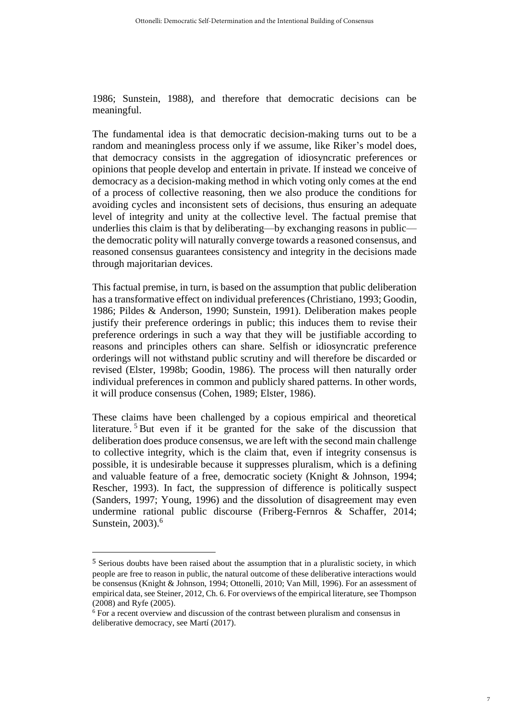1986; Sunstein, 1988), and therefore that democratic decisions can be meaningful.

The fundamental idea is that democratic decision-making turns out to be a random and meaningless process only if we assume, like Riker's model does, that democracy consists in the aggregation of idiosyncratic preferences or opinions that people develop and entertain in private. If instead we conceive of democracy as a decision-making method in which voting only comes at the end of a process of collective reasoning, then we also produce the conditions for avoiding cycles and inconsistent sets of decisions, thus ensuring an adequate level of integrity and unity at the collective level. The factual premise that underlies this claim is that by deliberating—by exchanging reasons in public the democratic polity will naturally converge towards a reasoned consensus, and reasoned consensus guarantees consistency and integrity in the decisions made through majoritarian devices.

This factual premise, in turn, is based on the assumption that public deliberation has a transformative effect on individual preferences (Christiano, 1993; Goodin, 1986; Pildes & Anderson, 1990; Sunstein, 1991). Deliberation makes people justify their preference orderings in public; this induces them to revise their preference orderings in such a way that they will be justifiable according to reasons and principles others can share. Selfish or idiosyncratic preference orderings will not withstand public scrutiny and will therefore be discarded or revised (Elster, 1998b; Goodin, 1986). The process will then naturally order individual preferences in common and publicly shared patterns. In other words, it will produce consensus (Cohen, 1989; Elster, 1986).

These claims have been challenged by a copious empirical and theoretical literature. <sup>5</sup> But even if it be granted for the sake of the discussion that deliberation does produce consensus, we are left with the second main challenge to collective integrity, which is the claim that, even if integrity consensus is possible, it is undesirable because it suppresses pluralism, which is a defining and valuable feature of a free, democratic society (Knight & Johnson, 1994; Rescher, 1993). In fact, the suppression of difference is politically suspect (Sanders, 1997; Young, 1996) and the dissolution of disagreement may even undermine rational public discourse (Friberg-Fernros & Schaffer, 2014; Sunstein, 2003). 6

<sup>5</sup> Serious doubts have been raised about the assumption that in a pluralistic society, in which people are free to reason in public, the natural outcome of these deliberative interactions would be consensus (Knight & Johnson, 1994; Ottonelli, 2010; Van Mill, 1996). For an assessment of empirical data, see Steiner, 2012, Ch. 6. For overviews of the empirical literature, see Thompson (2008) and Ryfe (2005).

<sup>6</sup> For a recent overview and discussion of the contrast between pluralism and consensus in deliberative democracy, see Martí (2017).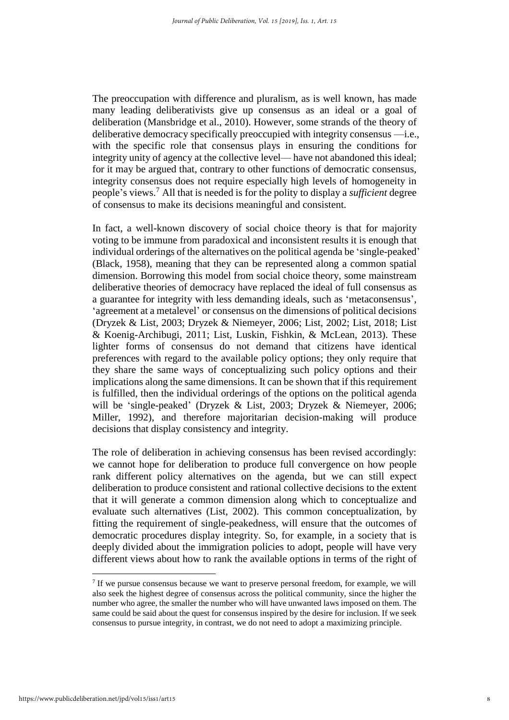The preoccupation with difference and pluralism, as is well known, has made many leading deliberativists give up consensus as an ideal or a goal of deliberation (Mansbridge et al., 2010). However, some strands of the theory of deliberative democracy specifically preoccupied with integrity consensus —i.e., with the specific role that consensus plays in ensuring the conditions for integrity unity of agency at the collective level— have not abandoned this ideal; for it may be argued that, contrary to other functions of democratic consensus, integrity consensus does not require especially high levels of homogeneity in people's views. <sup>7</sup> All that is needed is for the polity to display a *sufficient* degree of consensus to make its decisions meaningful and consistent.

In fact, a well-known discovery of social choice theory is that for majority voting to be immune from paradoxical and inconsistent results it is enough that individual orderings of the alternatives on the political agenda be 'single-peaked' (Black, 1958), meaning that they can be represented along a common spatial dimension. Borrowing this model from social choice theory, some mainstream deliberative theories of democracy have replaced the ideal of full consensus as a guarantee for integrity with less demanding ideals, such as 'metaconsensus', 'agreement at a metalevel' or consensus on the dimensions of political decisions (Dryzek & List, 2003; Dryzek & Niemeyer, 2006; List, 2002; List, 2018; List & Koenig-Archibugi, 2011; List, Luskin, Fishkin, & McLean, 2013). These lighter forms of consensus do not demand that citizens have identical preferences with regard to the available policy options; they only require that they share the same ways of conceptualizing such policy options and their implications along the same dimensions. It can be shown that if this requirement is fulfilled, then the individual orderings of the options on the political agenda will be 'single-peaked' (Dryzek & List, 2003; Dryzek & Niemeyer, 2006; Miller, 1992), and therefore majoritarian decision-making will produce decisions that display consistency and integrity.

The role of deliberation in achieving consensus has been revised accordingly: we cannot hope for deliberation to produce full convergence on how people rank different policy alternatives on the agenda, but we can still expect deliberation to produce consistent and rational collective decisions to the extent that it will generate a common dimension along which to conceptualize and evaluate such alternatives (List, 2002). This common conceptualization, by fitting the requirement of single-peakedness, will ensure that the outcomes of democratic procedures display integrity. So, for example, in a society that is deeply divided about the immigration policies to adopt, people will have very different views about how to rank the available options in terms of the right of

 $7$  If we pursue consensus because we want to preserve personal freedom, for example, we will also seek the highest degree of consensus across the political community, since the higher the number who agree, the smaller the number who will have unwanted laws imposed on them. The same could be said about the quest for consensus inspired by the desire for inclusion. If we seek consensus to pursue integrity, in contrast, we do not need to adopt a maximizing principle.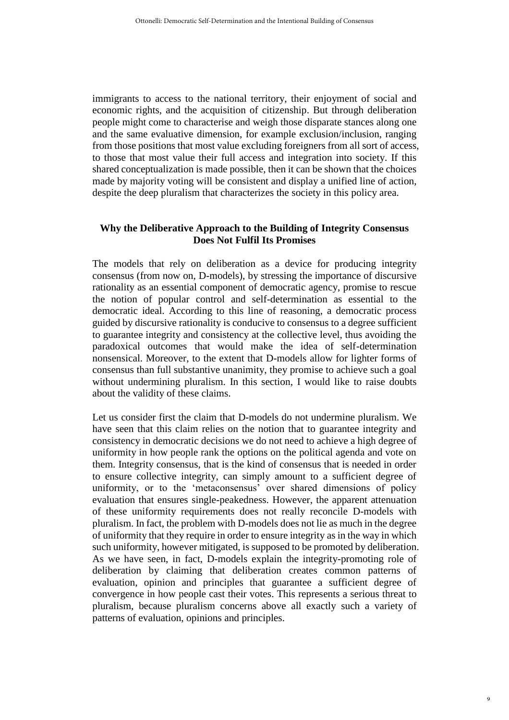immigrants to access to the national territory, their enjoyment of social and economic rights, and the acquisition of citizenship. But through deliberation people might come to characterise and weigh those disparate stances along one and the same evaluative dimension, for example exclusion/inclusion, ranging from those positions that most value excluding foreigners from all sort of access, to those that most value their full access and integration into society. If this shared conceptualization is made possible, then it can be shown that the choices made by majority voting will be consistent and display a unified line of action, despite the deep pluralism that characterizes the society in this policy area.

#### **Why the Deliberative Approach to the Building of Integrity Consensus Does Not Fulfil Its Promises**

The models that rely on deliberation as a device for producing integrity consensus (from now on, D-models), by stressing the importance of discursive rationality as an essential component of democratic agency, promise to rescue the notion of popular control and self-determination as essential to the democratic ideal. According to this line of reasoning, a democratic process guided by discursive rationality is conducive to consensus to a degree sufficient to guarantee integrity and consistency at the collective level, thus avoiding the paradoxical outcomes that would make the idea of self-determination nonsensical. Moreover, to the extent that D-models allow for lighter forms of consensus than full substantive unanimity, they promise to achieve such a goal without undermining pluralism. In this section, I would like to raise doubts about the validity of these claims.

Let us consider first the claim that D-models do not undermine pluralism. We have seen that this claim relies on the notion that to guarantee integrity and consistency in democratic decisions we do not need to achieve a high degree of uniformity in how people rank the options on the political agenda and vote on them. Integrity consensus, that is the kind of consensus that is needed in order to ensure collective integrity, can simply amount to a sufficient degree of uniformity, or to the 'metaconsensus' over shared dimensions of policy evaluation that ensures single-peakedness. However, the apparent attenuation of these uniformity requirements does not really reconcile D-models with pluralism. In fact, the problem with D-models does not lie as much in the degree of uniformity that they require in order to ensure integrity as in the way in which such uniformity, however mitigated, is supposed to be promoted by deliberation. As we have seen, in fact, D-models explain the integrity-promoting role of deliberation by claiming that deliberation creates common patterns of evaluation, opinion and principles that guarantee a sufficient degree of convergence in how people cast their votes. This represents a serious threat to pluralism, because pluralism concerns above all exactly such a variety of patterns of evaluation, opinions and principles.

9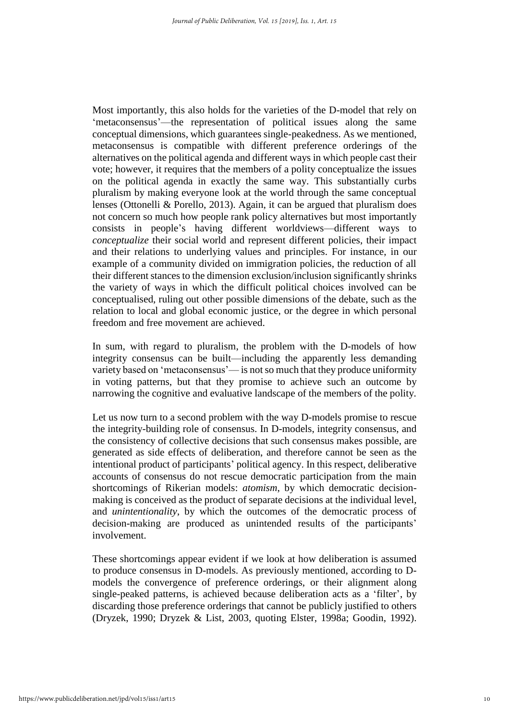Most importantly, this also holds for the varieties of the D-model that rely on 'metaconsensus'—the representation of political issues along the same conceptual dimensions, which guarantees single-peakedness. As we mentioned, metaconsensus is compatible with different preference orderings of the alternatives on the political agenda and different ways in which people cast their vote; however, it requires that the members of a polity conceptualize the issues on the political agenda in exactly the same way. This substantially curbs pluralism by making everyone look at the world through the same conceptual lenses (Ottonelli & Porello, 2013). Again, it can be argued that pluralism does not concern so much how people rank policy alternatives but most importantly consists in people's having different worldviews—different ways to *conceptualize* their social world and represent different policies, their impact and their relations to underlying values and principles. For instance, in our example of a community divided on immigration policies, the reduction of all their different stances to the dimension exclusion/inclusion significantly shrinks the variety of ways in which the difficult political choices involved can be conceptualised, ruling out other possible dimensions of the debate, such as the relation to local and global economic justice, or the degree in which personal freedom and free movement are achieved.

In sum, with regard to pluralism, the problem with the D-models of how integrity consensus can be built—including the apparently less demanding variety based on 'metaconsensus'— is not so much that they produce uniformity in voting patterns, but that they promise to achieve such an outcome by narrowing the cognitive and evaluative landscape of the members of the polity.

Let us now turn to a second problem with the way D-models promise to rescue the integrity-building role of consensus. In D-models, integrity consensus, and the consistency of collective decisions that such consensus makes possible, are generated as side effects of deliberation, and therefore cannot be seen as the intentional product of participants' political agency. In this respect, deliberative accounts of consensus do not rescue democratic participation from the main shortcomings of Rikerian models: *atomism*, by which democratic decisionmaking is conceived as the product of separate decisions at the individual level, and *unintentionality*, by which the outcomes of the democratic process of decision-making are produced as unintended results of the participants' involvement.

These shortcomings appear evident if we look at how deliberation is assumed to produce consensus in D-models. As previously mentioned, according to Dmodels the convergence of preference orderings, or their alignment along single-peaked patterns, is achieved because deliberation acts as a 'filter', by discarding those preference orderings that cannot be publicly justified to others (Dryzek, 1990; Dryzek & List, 2003, quoting Elster, 1998a; Goodin, 1992).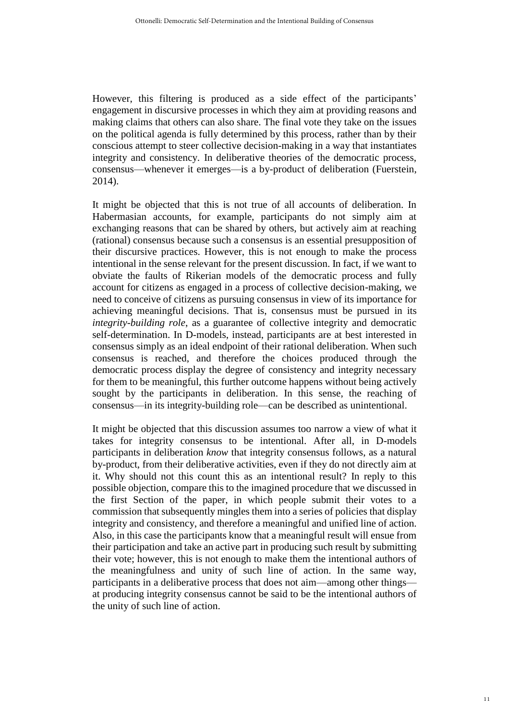However, this filtering is produced as a side effect of the participants' engagement in discursive processes in which they aim at providing reasons and making claims that others can also share. The final vote they take on the issues on the political agenda is fully determined by this process, rather than by their conscious attempt to steer collective decision-making in a way that instantiates integrity and consistency. In deliberative theories of the democratic process, consensus—whenever it emerges—is a by-product of deliberation (Fuerstein, 2014).

It might be objected that this is not true of all accounts of deliberation. In Habermasian accounts, for example, participants do not simply aim at exchanging reasons that can be shared by others, but actively aim at reaching (rational) consensus because such a consensus is an essential presupposition of their discursive practices. However, this is not enough to make the process intentional in the sense relevant for the present discussion. In fact, if we want to obviate the faults of Rikerian models of the democratic process and fully account for citizens as engaged in a process of collective decision-making, we need to conceive of citizens as pursuing consensus in view of its importance for achieving meaningful decisions. That is, consensus must be pursued in its *integrity-building role*, as a guarantee of collective integrity and democratic self-determination. In D-models, instead, participants are at best interested in consensus simply as an ideal endpoint of their rational deliberation. When such consensus is reached, and therefore the choices produced through the democratic process display the degree of consistency and integrity necessary for them to be meaningful, this further outcome happens without being actively sought by the participants in deliberation. In this sense, the reaching of consensus—in its integrity-building role—can be described as unintentional.

It might be objected that this discussion assumes too narrow a view of what it takes for integrity consensus to be intentional. After all, in D-models participants in deliberation *know* that integrity consensus follows, as a natural by-product, from their deliberative activities, even if they do not directly aim at it. Why should not this count this as an intentional result? In reply to this possible objection, compare this to the imagined procedure that we discussed in the first Section of the paper, in which people submit their votes to a commission that subsequently mingles them into a series of policies that display integrity and consistency, and therefore a meaningful and unified line of action. Also, in this case the participants know that a meaningful result will ensue from their participation and take an active part in producing such result by submitting their vote; however, this is not enough to make them the intentional authors of the meaningfulness and unity of such line of action. In the same way, participants in a deliberative process that does not aim—among other things at producing integrity consensus cannot be said to be the intentional authors of the unity of such line of action.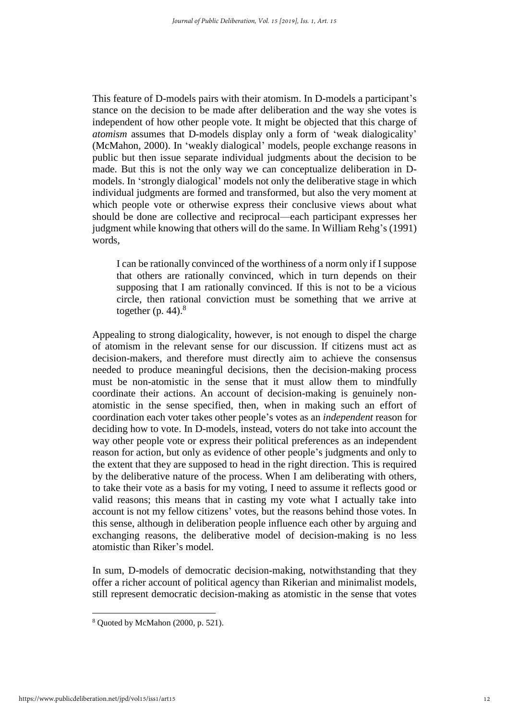This feature of D-models pairs with their atomism. In D-models a participant's stance on the decision to be made after deliberation and the way she votes is independent of how other people vote. It might be objected that this charge of *atomism* assumes that D-models display only a form of 'weak dialogicality' (McMahon, 2000). In 'weakly dialogical' models, people exchange reasons in public but then issue separate individual judgments about the decision to be made. But this is not the only way we can conceptualize deliberation in Dmodels. In 'strongly dialogical' models not only the deliberative stage in which individual judgments are formed and transformed, but also the very moment at which people vote or otherwise express their conclusive views about what should be done are collective and reciprocal—each participant expresses her judgment while knowing that others will do the same. In William Rehg's (1991) words,

I can be rationally convinced of the worthiness of a norm only if I suppose that others are rationally convinced, which in turn depends on their supposing that I am rationally convinced. If this is not to be a vicious circle, then rational conviction must be something that we arrive at together (p. 44). $^8$ 

Appealing to strong dialogicality, however, is not enough to dispel the charge of atomism in the relevant sense for our discussion. If citizens must act as decision-makers, and therefore must directly aim to achieve the consensus needed to produce meaningful decisions, then the decision-making process must be non-atomistic in the sense that it must allow them to mindfully coordinate their actions. An account of decision-making is genuinely nonatomistic in the sense specified, then, when in making such an effort of coordination each voter takes other people's votes as an *independent* reason for deciding how to vote. In D-models, instead, voters do not take into account the way other people vote or express their political preferences as an independent reason for action, but only as evidence of other people's judgments and only to the extent that they are supposed to head in the right direction. This is required by the deliberative nature of the process. When I am deliberating with others, to take their vote as a basis for my voting, I need to assume it reflects good or valid reasons; this means that in casting my vote what I actually take into account is not my fellow citizens' votes, but the reasons behind those votes. In this sense, although in deliberation people influence each other by arguing and exchanging reasons, the deliberative model of decision-making is no less atomistic than Riker's model.

In sum, D-models of democratic decision-making, notwithstanding that they offer a richer account of political agency than Rikerian and minimalist models, still represent democratic decision-making as atomistic in the sense that votes

<sup>8</sup> Quoted by McMahon (2000, p. 521).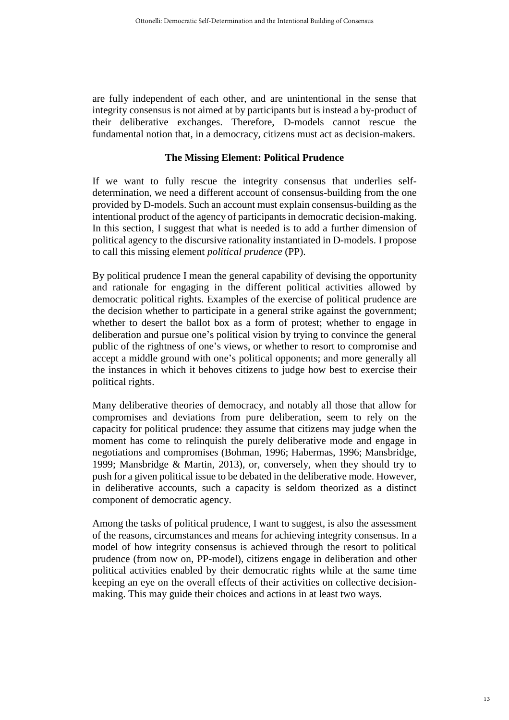are fully independent of each other, and are unintentional in the sense that integrity consensus is not aimed at by participants but is instead a by-product of their deliberative exchanges. Therefore, D-models cannot rescue the fundamental notion that, in a democracy, citizens must act as decision-makers.

#### **The Missing Element: Political Prudence**

If we want to fully rescue the integrity consensus that underlies selfdetermination, we need a different account of consensus-building from the one provided by D-models. Such an account must explain consensus-building as the intentional product of the agency of participants in democratic decision-making. In this section, I suggest that what is needed is to add a further dimension of political agency to the discursive rationality instantiated in D-models. I propose to call this missing element *political prudence* (PP).

By political prudence I mean the general capability of devising the opportunity and rationale for engaging in the different political activities allowed by democratic political rights. Examples of the exercise of political prudence are the decision whether to participate in a general strike against the government; whether to desert the ballot box as a form of protest; whether to engage in deliberation and pursue one's political vision by trying to convince the general public of the rightness of one's views, or whether to resort to compromise and accept a middle ground with one's political opponents; and more generally all the instances in which it behoves citizens to judge how best to exercise their political rights.

Many deliberative theories of democracy, and notably all those that allow for compromises and deviations from pure deliberation, seem to rely on the capacity for political prudence: they assume that citizens may judge when the moment has come to relinquish the purely deliberative mode and engage in negotiations and compromises (Bohman, 1996; Habermas, 1996; Mansbridge, 1999; Mansbridge & Martin, 2013), or, conversely, when they should try to push for a given political issue to be debated in the deliberative mode. However, in deliberative accounts, such a capacity is seldom theorized as a distinct component of democratic agency.

Among the tasks of political prudence, I want to suggest, is also the assessment of the reasons, circumstances and means for achieving integrity consensus. In a model of how integrity consensus is achieved through the resort to political prudence (from now on, PP-model), citizens engage in deliberation and other political activities enabled by their democratic rights while at the same time keeping an eye on the overall effects of their activities on collective decisionmaking. This may guide their choices and actions in at least two ways.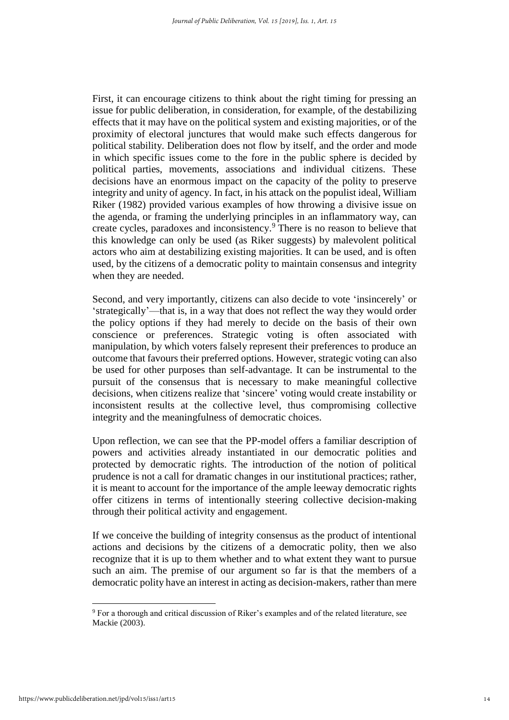First, it can encourage citizens to think about the right timing for pressing an issue for public deliberation, in consideration, for example, of the destabilizing effects that it may have on the political system and existing majorities, or of the proximity of electoral junctures that would make such effects dangerous for political stability. Deliberation does not flow by itself, and the order and mode in which specific issues come to the fore in the public sphere is decided by political parties, movements, associations and individual citizens. These decisions have an enormous impact on the capacity of the polity to preserve integrity and unity of agency. In fact, in his attack on the populist ideal, William Riker (1982) provided various examples of how throwing a divisive issue on the agenda, or framing the underlying principles in an inflammatory way, can create cycles, paradoxes and inconsistency.<sup>9</sup> There is no reason to believe that this knowledge can only be used (as Riker suggests) by malevolent political actors who aim at destabilizing existing majorities. It can be used, and is often used, by the citizens of a democratic polity to maintain consensus and integrity when they are needed.

Second, and very importantly, citizens can also decide to vote 'insincerely' or 'strategically'—that is, in a way that does not reflect the way they would order the policy options if they had merely to decide on the basis of their own conscience or preferences. Strategic voting is often associated with manipulation, by which voters falsely represent their preferences to produce an outcome that favours their preferred options. However, strategic voting can also be used for other purposes than self-advantage. It can be instrumental to the pursuit of the consensus that is necessary to make meaningful collective decisions, when citizens realize that 'sincere' voting would create instability or inconsistent results at the collective level, thus compromising collective integrity and the meaningfulness of democratic choices.

Upon reflection, we can see that the PP-model offers a familiar description of powers and activities already instantiated in our democratic polities and protected by democratic rights. The introduction of the notion of political prudence is not a call for dramatic changes in our institutional practices; rather, it is meant to account for the importance of the ample leeway democratic rights offer citizens in terms of intentionally steering collective decision-making through their political activity and engagement.

If we conceive the building of integrity consensus as the product of intentional actions and decisions by the citizens of a democratic polity, then we also recognize that it is up to them whether and to what extent they want to pursue such an aim. The premise of our argument so far is that the members of a democratic polity have an interest in acting as decision-makers, rather than mere

<sup>9</sup> For a thorough and critical discussion of Riker's examples and of the related literature, see Mackie (2003).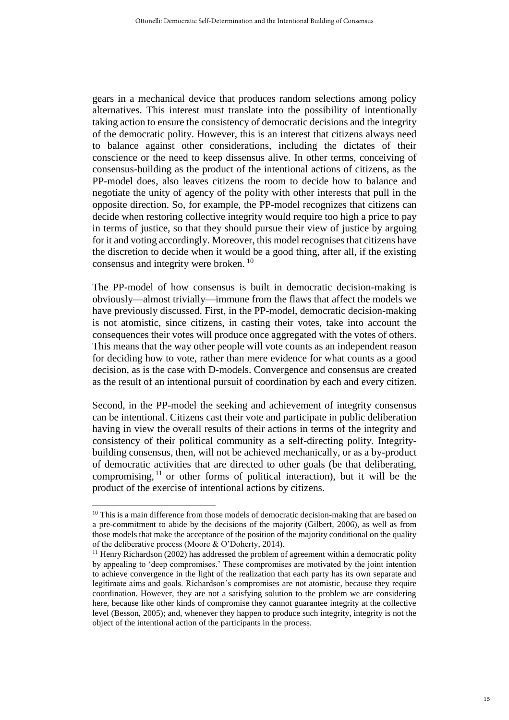gears in a mechanical device that produces random selections among policy alternatives. This interest must translate into the possibility of intentionally taking action to ensure the consistency of democratic decisions and the integrity of the democratic polity. However, this is an interest that citizens always need to balance against other considerations, including the dictates of their conscience or the need to keep dissensus alive. In other terms, conceiving of consensus-building as the product of the intentional actions of citizens, as the PP-model does, also leaves citizens the room to decide how to balance and negotiate the unity of agency of the polity with other interests that pull in the opposite direction. So, for example, the PP-model recognizes that citizens can decide when restoring collective integrity would require too high a price to pay in terms of justice, so that they should pursue their view of justice by arguing for it and voting accordingly. Moreover, this model recognises that citizens have the discretion to decide when it would be a good thing, after all, if the existing consensus and integrity were broken. <sup>10</sup>

The PP-model of how consensus is built in democratic decision-making is obviously—almost trivially—immune from the flaws that affect the models we have previously discussed. First, in the PP-model, democratic decision-making is not atomistic, since citizens, in casting their votes, take into account the consequences their votes will produce once aggregated with the votes of others. This means that the way other people will vote counts as an independent reason for deciding how to vote, rather than mere evidence for what counts as a good decision, as is the case with D-models. Convergence and consensus are created as the result of an intentional pursuit of coordination by each and every citizen.

Second, in the PP-model the seeking and achievement of integrity consensus can be intentional. Citizens cast their vote and participate in public deliberation having in view the overall results of their actions in terms of the integrity and consistency of their political community as a self-directing polity. Integritybuilding consensus, then, will not be achieved mechanically, or as a by-product of democratic activities that are directed to other goals (be that deliberating, compromising,  $11$  or other forms of political interaction), but it will be the product of the exercise of intentional actions by citizens.

<sup>&</sup>lt;sup>10</sup> This is a main difference from those models of democratic decision-making that are based on a pre-commitment to abide by the decisions of the majority (Gilbert, 2006), as well as from those models that make the acceptance of the position of the majority conditional on the quality of the deliberative process (Moore & O'Doherty, 2014).

 $11$  Henry Richardson (2002) has addressed the problem of agreement within a democratic polity by appealing to 'deep compromises.' These compromises are motivated by the joint intention to achieve convergence in the light of the realization that each party has its own separate and legitimate aims and goals. Richardson's compromises are not atomistic, because they require coordination. However, they are not a satisfying solution to the problem we are considering here, because like other kinds of compromise they cannot guarantee integrity at the collective level (Besson, 2005); and, whenever they happen to produce such integrity, integrity is not the object of the intentional action of the participants in the process.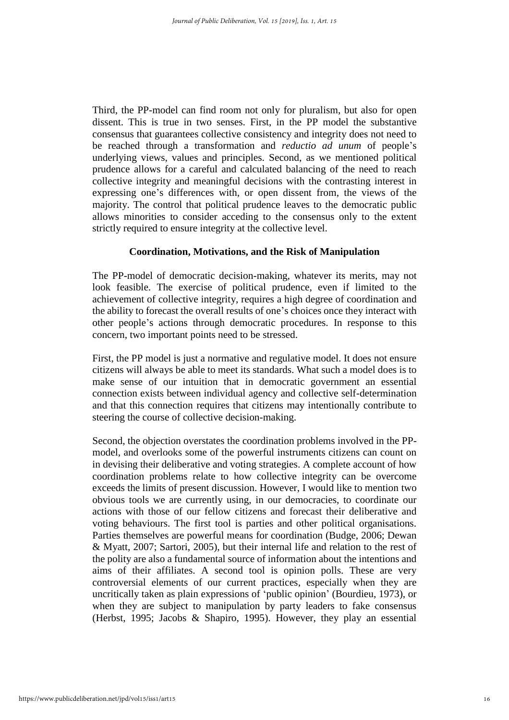Third, the PP-model can find room not only for pluralism, but also for open dissent. This is true in two senses. First, in the PP model the substantive consensus that guarantees collective consistency and integrity does not need to be reached through a transformation and *reductio ad unum* of people's underlying views, values and principles. Second, as we mentioned political prudence allows for a careful and calculated balancing of the need to reach collective integrity and meaningful decisions with the contrasting interest in expressing one's differences with, or open dissent from, the views of the majority. The control that political prudence leaves to the democratic public allows minorities to consider acceding to the consensus only to the extent strictly required to ensure integrity at the collective level.

#### **Coordination, Motivations, and the Risk of Manipulation**

The PP-model of democratic decision-making, whatever its merits, may not look feasible. The exercise of political prudence, even if limited to the achievement of collective integrity, requires a high degree of coordination and the ability to forecast the overall results of one's choices once they interact with other people's actions through democratic procedures. In response to this concern, two important points need to be stressed.

First, the PP model is just a normative and regulative model. It does not ensure citizens will always be able to meet its standards. What such a model does is to make sense of our intuition that in democratic government an essential connection exists between individual agency and collective self-determination and that this connection requires that citizens may intentionally contribute to steering the course of collective decision-making.

Second, the objection overstates the coordination problems involved in the PPmodel, and overlooks some of the powerful instruments citizens can count on in devising their deliberative and voting strategies. A complete account of how coordination problems relate to how collective integrity can be overcome exceeds the limits of present discussion. However, I would like to mention two obvious tools we are currently using, in our democracies, to coordinate our actions with those of our fellow citizens and forecast their deliberative and voting behaviours. The first tool is parties and other political organisations. Parties themselves are powerful means for coordination (Budge, 2006; Dewan & Myatt, 2007; Sartori, 2005), but their internal life and relation to the rest of the polity are also a fundamental source of information about the intentions and aims of their affiliates. A second tool is opinion polls. These are very controversial elements of our current practices, especially when they are uncritically taken as plain expressions of 'public opinion' (Bourdieu, 1973), or when they are subject to manipulation by party leaders to fake consensus (Herbst, 1995; Jacobs & Shapiro, 1995). However, they play an essential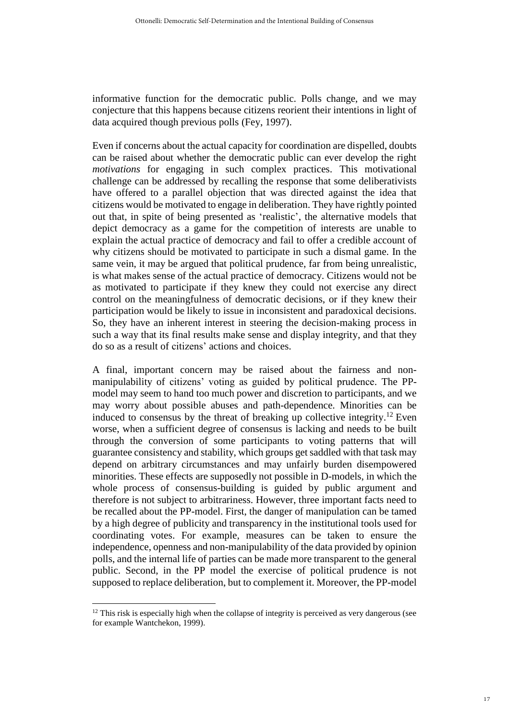informative function for the democratic public. Polls change, and we may conjecture that this happens because citizens reorient their intentions in light of data acquired though previous polls (Fey, 1997).

Even if concerns about the actual capacity for coordination are dispelled, doubts can be raised about whether the democratic public can ever develop the right *motivations* for engaging in such complex practices. This motivational challenge can be addressed by recalling the response that some deliberativists have offered to a parallel objection that was directed against the idea that citizens would be motivated to engage in deliberation. They have rightly pointed out that, in spite of being presented as 'realistic', the alternative models that depict democracy as a game for the competition of interests are unable to explain the actual practice of democracy and fail to offer a credible account of why citizens should be motivated to participate in such a dismal game. In the same vein, it may be argued that political prudence, far from being unrealistic, is what makes sense of the actual practice of democracy. Citizens would not be as motivated to participate if they knew they could not exercise any direct control on the meaningfulness of democratic decisions, or if they knew their participation would be likely to issue in inconsistent and paradoxical decisions. So, they have an inherent interest in steering the decision-making process in such a way that its final results make sense and display integrity, and that they do so as a result of citizens' actions and choices.

A final, important concern may be raised about the fairness and nonmanipulability of citizens' voting as guided by political prudence. The PPmodel may seem to hand too much power and discretion to participants, and we may worry about possible abuses and path-dependence. Minorities can be induced to consensus by the threat of breaking up collective integrity.<sup>12</sup> Even worse, when a sufficient degree of consensus is lacking and needs to be built through the conversion of some participants to voting patterns that will guarantee consistency and stability, which groups getsaddled with that task may depend on arbitrary circumstances and may unfairly burden disempowered minorities. These effects are supposedly not possible in D-models, in which the whole process of consensus-building is guided by public argument and therefore is not subject to arbitrariness. However, three important facts need to be recalled about the PP-model. First, the danger of manipulation can be tamed by a high degree of publicity and transparency in the institutional tools used for coordinating votes. For example, measures can be taken to ensure the independence, openness and non-manipulability of the data provided by opinion polls, and the internal life of parties can be made more transparent to the general public. Second, in the PP model the exercise of political prudence is not supposed to replace deliberation, but to complement it. Moreover, the PP-model

 $12$  This risk is especially high when the collapse of integrity is perceived as very dangerous (see for example Wantchekon, 1999).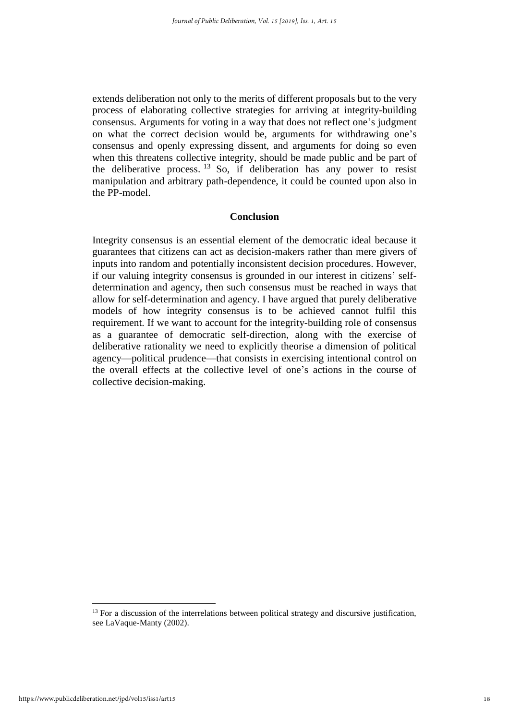extends deliberation not only to the merits of different proposals but to the very process of elaborating collective strategies for arriving at integrity-building consensus. Arguments for voting in a way that does not reflect one's judgment on what the correct decision would be, arguments for withdrawing one's consensus and openly expressing dissent, and arguments for doing so even when this threatens collective integrity, should be made public and be part of the deliberative process.  $^{13}$  So, if deliberation has any power to resist manipulation and arbitrary path-dependence, it could be counted upon also in the PP-model.

#### **Conclusion**

Integrity consensus is an essential element of the democratic ideal because it guarantees that citizens can act as decision-makers rather than mere givers of inputs into random and potentially inconsistent decision procedures. However, if our valuing integrity consensus is grounded in our interest in citizens' selfdetermination and agency, then such consensus must be reached in ways that allow for self-determination and agency. I have argued that purely deliberative models of how integrity consensus is to be achieved cannot fulfil this requirement. If we want to account for the integrity-building role of consensus as a guarantee of democratic self-direction, along with the exercise of deliberative rationality we need to explicitly theorise a dimension of political agency—political prudence—that consists in exercising intentional control on the overall effects at the collective level of one's actions in the course of collective decision-making.

 $13$  For a discussion of the interrelations between political strategy and discursive justification, see LaVaque-Manty (2002).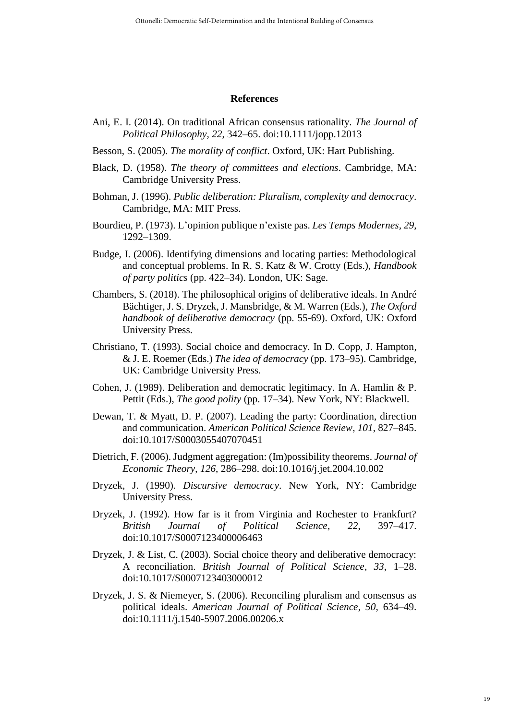#### **References**

- Ani, E. I. (2014). On traditional African consensus rationality. *The Journal of Political Philosophy, 22*, 342–65. doi:10.1111/jopp.12013
- Besson, S. (2005). *The morality of conflict*. Oxford, UK: Hart Publishing.
- Black, D. (1958). *The theory of committees and elections*. Cambridge, MA: Cambridge University Press.
- Bohman, J. (1996). *Public deliberation: Pluralism, complexity and democracy*. Cambridge, MA: MIT Press.
- Bourdieu, P. (1973). L'opinion publique n'existe pas. *Les Temps Modernes, 29*, 1292–1309.
- Budge, I. (2006). Identifying dimensions and locating parties: Methodological and conceptual problems. In R. S. Katz & W. Crotty (Eds.), *Handbook of party politics* (pp. 422–34). London, UK: Sage.
- Chambers, S. (2018). The philosophical origins of deliberative ideals. In André Bächtiger, J. S. Dryzek, J. Mansbridge, & M. Warren (Eds.), *The Oxford handbook of deliberative democracy* (pp. 55-69). Oxford, UK: Oxford University Press.
- Christiano, T. (1993). Social choice and democracy. In D. Copp, J. Hampton, & J. E. Roemer (Eds.) *The idea of democracy* (pp. 173–95). Cambridge, UK: Cambridge University Press.
- Cohen, J. (1989). Deliberation and democratic legitimacy. In A. Hamlin & P. Pettit (Eds.), *The good polity* (pp. 17–34). New York, NY: Blackwell.
- Dewan, T. & Myatt, D. P. (2007). Leading the party: Coordination, direction and communication. *American Political Science Review*, *101*, 827–845. doi:10.1017/S0003055407070451
- Dietrich, F. (2006). Judgment aggregation: (Im)possibility theorems. *Journal of Economic Theory*, *126*, 286–298. doi:10.1016/j.jet.2004.10.002
- Dryzek, J. (1990). *Discursive democracy*. New York, NY: Cambridge University Press.
- Dryzek, J. (1992). How far is it from Virginia and Rochester to Frankfurt? *British Journal of Political Science*, *22*, 397–417. doi:10.1017/S0007123400006463
- Dryzek, J. & List, C. (2003). Social choice theory and deliberative democracy: A reconciliation. *British Journal of Political Science*, *33*, 1–28. doi:10.1017/S0007123403000012
- Dryzek, J. S. & Niemeyer, S. (2006). Reconciling pluralism and consensus as political ideals. *American Journal of Political Science*, *50*, 634–49. doi:10.1111/j.1540-5907.2006.00206.x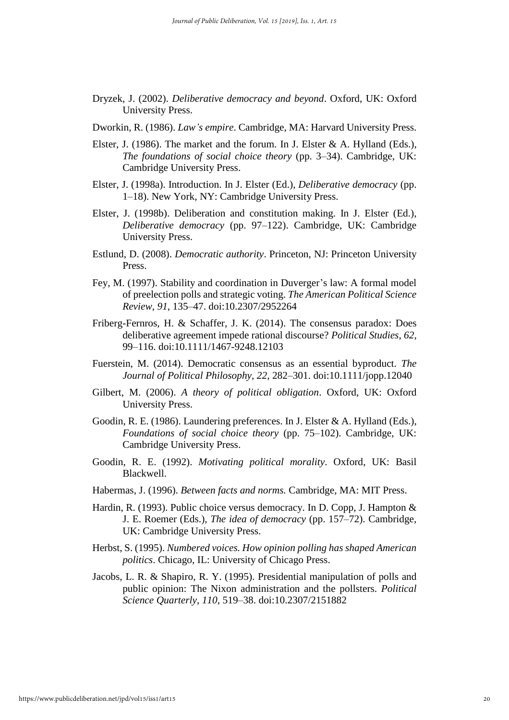- Dryzek, J. (2002). *Deliberative democracy and beyond*. Oxford, UK: Oxford University Press.
- Dworkin, R. (1986). *Law's empire*. Cambridge, MA: Harvard University Press.
- Elster, J. (1986). The market and the forum. In J. Elster & A. Hylland (Eds.), *The foundations of social choice theory* (pp. 3–34). Cambridge, UK: Cambridge University Press.
- Elster, J. (1998a). Introduction. In J. Elster (Ed.), *Deliberative democracy* (pp. 1–18). New York, NY: Cambridge University Press.
- Elster, J. (1998b). Deliberation and constitution making. In J. Elster (Ed.), *Deliberative democracy* (pp. 97–122). Cambridge, UK: Cambridge University Press.
- Estlund, D. (2008). *Democratic authority*. Princeton, NJ: Princeton University Press.
- Fey, M. (1997). Stability and coordination in Duverger's law: A formal model of preelection polls and strategic voting. *The American Political Science Review*, *91*, 135–47. doi:10.2307/2952264
- Friberg-Fernros, H. & Schaffer, J. K. (2014). The consensus paradox: Does deliberative agreement impede rational discourse? *Political Studies*, *62*, 99–116. doi:10.1111/1467-9248.12103
- Fuerstein, M. (2014). Democratic consensus as an essential byproduct. *The Journal of Political Philosophy, 22*, 282–301. doi:10.1111/jopp.12040
- Gilbert, M. (2006). *A theory of political obligation*. Oxford, UK: Oxford University Press.
- Goodin, R. E. (1986). Laundering preferences. In J. Elster & A. Hylland (Eds.), *Foundations of social choice theory* (pp. 75–102). Cambridge, UK: Cambridge University Press.
- Goodin, R. E. (1992). *Motivating political morality*. Oxford, UK: Basil Blackwell.
- Habermas, J. (1996). *Between facts and norms.* Cambridge, MA: MIT Press.
- Hardin, R. (1993). Public choice versus democracy. In D. Copp, J. Hampton & J. E. Roemer (Eds.), *The idea of democracy* (pp. 157–72). Cambridge, UK: Cambridge University Press.
- Herbst, S. (1995). *Numbered voices. How opinion polling has shaped American politics*. Chicago, IL: University of Chicago Press.
- Jacobs, L. R. & Shapiro, R. Y. (1995). Presidential manipulation of polls and public opinion: The Nixon administration and the pollsters. *Political Science Quarterly*, *110*, 519–38. doi:10.2307/2151882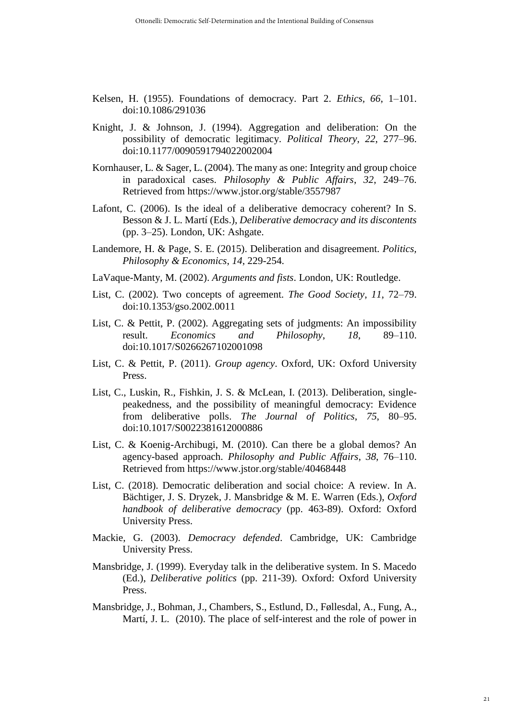- Kelsen, H. (1955). Foundations of democracy. Part 2. *Ethics, 66*, 1–101. doi:10.1086/291036
- Knight, J. & Johnson, J. (1994). Aggregation and deliberation: On the possibility of democratic legitimacy. *Political Theory*, *22*, 277–96. doi:10.1177/0090591794022002004
- Kornhauser, L. & Sager, L. (2004). The many as one: Integrity and group choice in paradoxical cases. *Philosophy & Public Affairs*, *32*, 249–76. Retrieved from https://www.jstor.org/stable/3557987
- Lafont, C. (2006). Is the ideal of a deliberative democracy coherent? In S. Besson & J. L. Martí (Eds.), *Deliberative democracy and its discontents* (pp. 3–25). London, UK: Ashgate.
- Landemore, H. & Page, S. E. (2015). Deliberation and disagreement. *Politics, Philosophy & Economics*, *14*, 229-254.
- LaVaque-Manty, M. (2002). *Arguments and fists*. London, UK: Routledge.
- List, C. (2002). Two concepts of agreement. *The Good Society*, *11*, 72–79. doi:10.1353/gso.2002.0011
- List, C. & Pettit, P. (2002). Aggregating sets of judgments: An impossibility result. *Economics and Philosophy*, *18*, 89–110. doi:10.1017/S0266267102001098
- List, C. & Pettit, P. (2011). *Group agency*. Oxford, UK: Oxford University Press.
- List, C., Luskin, R., Fishkin, J. S. & McLean, I. (2013). Deliberation, singlepeakedness, and the possibility of meaningful democracy: Evidence from deliberative polls. *The Journal of Politics*, *75*, 80–95. doi:10.1017/S0022381612000886
- List, C. & Koenig-Archibugi, M. (2010). Can there be a global demos? An agency-based approach. *Philosophy and Public Affairs*, *38*, 76–110. Retrieved from https://www.jstor.org/stable/40468448
- List, C. (2018). Democratic deliberation and social choice: A review. In A. Bächtiger, J. S. Dryzek, J. Mansbridge & M. E. Warren (Eds.), *Oxford handbook of deliberative democracy* (pp. 463-89). Oxford: Oxford University Press.
- Mackie, G. (2003). *Democracy defended*. Cambridge, UK: Cambridge University Press.
- Mansbridge, J. (1999). Everyday talk in the deliberative system. In S. Macedo (Ed.), *Deliberative politics* (pp. 211-39). Oxford: Oxford University Press.
- Mansbridge, J., Bohman, J., Chambers, S., Estlund, D., Føllesdal, A., Fung, A., Martí, J. L. (2010). The place of self-interest and the role of power in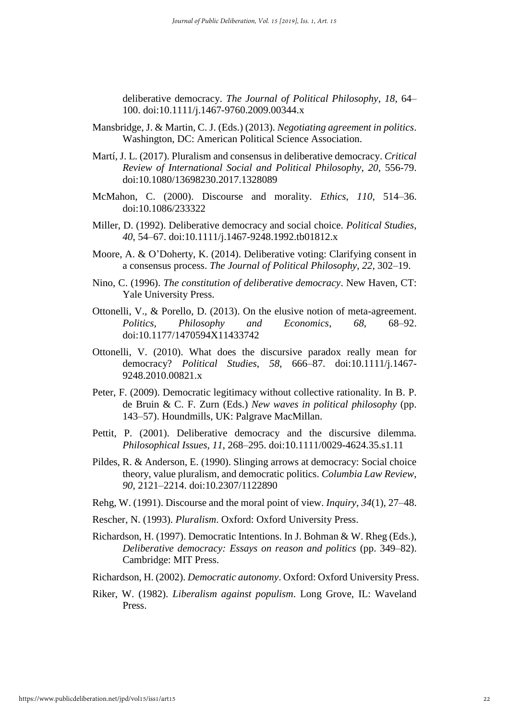deliberative democracy. *The Journal of Political Philosophy*, *18*, 64– 100. doi:10.1111/j.1467-9760.2009.00344.x

- Mansbridge, J. & Martin, C. J. (Eds.) (2013). *Negotiating agreement in politics*. Washington, DC: American Political Science Association.
- Martí, J. L. (2017). Pluralism and consensus in deliberative democracy. *Critical Review of International Social and Political Philosophy*, *20*, 556-79. doi:10.1080/13698230.2017.1328089
- McMahon, C. (2000). Discourse and morality. *Ethics*, *110*, 514–36. doi:10.1086/233322
- Miller, D. (1992). Deliberative democracy and social choice. *Political Studies*, *40*, 54–67. doi:10.1111/j.1467-9248.1992.tb01812.x
- Moore, A. & O'Doherty, K. (2014). Deliberative voting: Clarifying consent in a consensus process. *The Journal of Political Philosophy*, *22*, 302–19.
- Nino, C. (1996). *The constitution of deliberative democracy*. New Haven, CT: Yale University Press.
- Ottonelli, V., & Porello, D. (2013). On the elusive notion of meta-agreement. *Politics, Philosophy and Economics*, *68*, 68–92. doi:10.1177/1470594X11433742
- Ottonelli, V. (2010). What does the discursive paradox really mean for democracy? *Political Studies*, *58*, 666–87. doi:10.1111/j.1467- 9248.2010.00821.x
- Peter, F. (2009). Democratic legitimacy without collective rationality. In B. P. de Bruin & C. F. Zurn (Eds.) *New waves in political philosophy* (pp. 143–57). Houndmills, UK: Palgrave MacMillan.
- Pettit, P. (2001). Deliberative democracy and the discursive dilemma. *Philosophical Issues*, *11*, 268–295. doi:10.1111/0029-4624.35.s1.11
- Pildes, R. & Anderson, E. (1990). Slinging arrows at democracy: Social choice theory, value pluralism, and democratic politics. *Columbia Law Review*, *90*, 2121–2214. doi:10.2307/1122890
- Rehg, W. (1991). Discourse and the moral point of view. *Inquiry*, *34*(1), 27–48.
- Rescher, N. (1993). *Pluralism*. Oxford: Oxford University Press.
- Richardson, H. (1997). Democratic Intentions. In J. Bohman & W. Rheg (Eds.), *Deliberative democracy: Essays on reason and politics* (pp. 349–82). Cambridge: MIT Press.
- Richardson, H. (2002). *Democratic autonomy*. Oxford: Oxford University Press.
- Riker, W. (1982). *Liberalism against populism*. Long Grove, IL: Waveland Press.